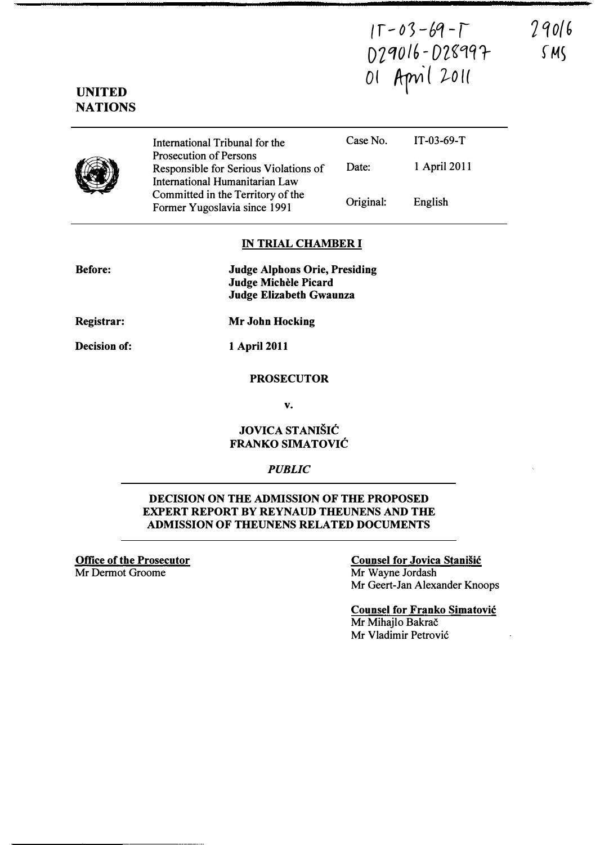$11 - 03 - 69 - 1$ D2QOl6 - DZ�4q1- 01 April 2011

2 Qo(6 fMS

### UNITED **NATIONS**



International Tribunal for the Prosecution of Persons Responsible for Serious Violations of International Humanitarian Law Committed in the Territory of the Former Yugoslavia since 1991 Case No. Date: Original: IT-03-69-T 1 April 2011 English

#### IN TRIAL CHAMBER I

Before:

Judge Alphons Orie, Presiding **Judge Michèle Picard** Judge Elizabeth Gwaunza

Registrar:

Decision of:

1 April 2011

Mr John Hocking

#### PROSECUTOR

v.

#### JOVICA STANISIC FRANKO SIMATOVIC

#### PUBLIC

### DECISION ON THE ADMISSION OF THE PROPOSED EXPERT REPORT BY REYNAUD THEUNENS AND THE ADMISSION OF THEUNENS RELATED DOCUMENTS

Office of the Prosecutor Mr Dermot Groome

#### Counsel for Jovica Stanisic

Mr Wayne Jordash Mr Geert-Jan Alexander Knoops

# Counsel for Franko Simatovic

Mr Mihailo Bakrač Mr Vladimir Petrović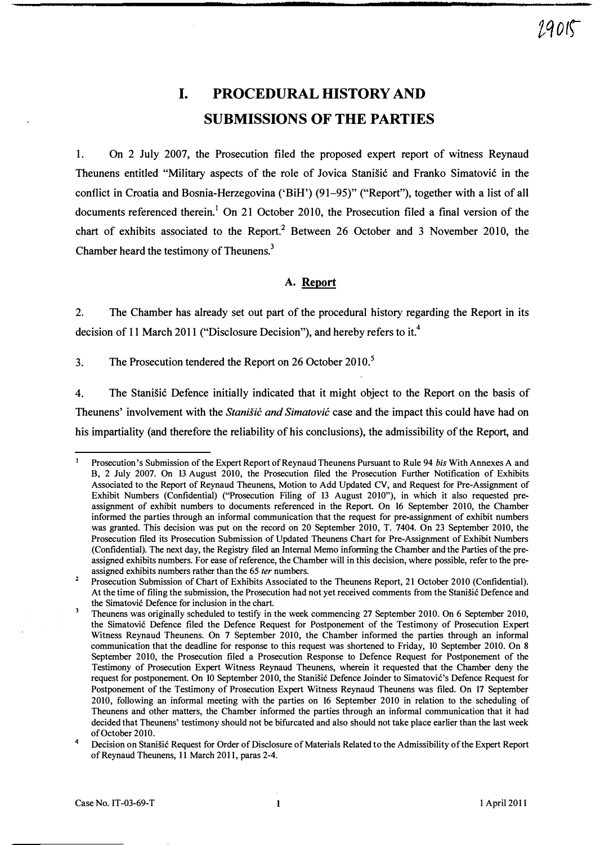# I. PROCEDURAL HISTORY AND SUBMISSIONS OF THE PARTIES

1. On 2 July 2007, the Prosecution filed the proposed expert report of witness Reynaud Theunens entitled "Military aspects of the role of Jovica Stanisic and Franko Simatovic in the conflict in Croatia and Bosnia-Herzegovina ('BiH') (91-95)" ("Report"), together with a list of all documents referenced therein.<sup>1</sup> On 21 October 2010, the Prosecution filed a final version of the chart of exhibits associated to the Report? Between 26 October and 3 November 2010, the Chamber heard the testimony of Theunens.<sup>3</sup>

#### A. Report

2. The Chamber has already set out part of the procedural history regarding the Report in its decision of 11 March 2011 ("Disclosure Decision"), and hereby refers to it.<sup>4</sup>

3. The Prosecution tendered the Report on 26 October 2010.<sup>5</sup>

4. The Stanisic Defence initially indicated that it might object to the Report on the basis of Theunens' involvement with the *Stanisic and Simatovic* case and the impact this could have had on his impartiality (and therefore the reliability of his conclusions), the admissibility of the Report, and

 $\mathbf{1}$ Prosecution's Submission of the Expert Report of Reynaud Theunens Pursuant to Rule 94 bis With Annexes A and B, 2 July 2007. On 13 August 2010, the Prosecution filed the Prosecution Further Notification of Exhibits Associated to the Report of Reynaud Theunens, Motion to Add Updated CV, and Request for Pre-Assignment of Exhibit Numbers (Confidential) ("Prosecution Filing of 13 August 2010"), in which it also requested preassignment of exhibit numbers to documents referenced in the Report. On 16 September 2010, the Chamber informed the parties through an informal communication that the request for pre-assignment of exhibit numbers was granted. This decision was put on the record on 20 September 2010, T. 7404. On 23 September 2010, the Prosecution filed its Prosecution Submission of Updated Theunens Chart for Pre-Assignment of Exhibit Numbers (Confidential). The next day, the Registry filed an Internal Memo informing the Chamber and the Parties of the preassigned exhibits numbers. For ease of reference, the Chamber will in this decision, where possible, refer to the preassigned exhibits numbers rather than the 65 ter numbers.

<sup>2</sup>  Prosecution Submission of Chart of Exhibits Associated to the Theunens Report, 21 October 2010 (Confidential). At the time of filing the submission, the Prosecution had not yet received comments from the Stanišić Defence and the Simatović Defence for inclusion in the chart.

Theunens was originally scheduled to testify in the week commencing 27 September 2010. On 6 September 2010, the Simatovi6 Defence filed the Defence Request for Postponement of the Testimony of Prosecution Expert Witness Reynaud Theunens. On 7 September 2010, the Chamber informed the parties through an informal communication that the deadline for response to this request was shortened to Friday, 10 September 2010. On 8 September 2010, the Prosecution filed a Prosecution Response to Defence Request for Postponement of the Testimony of Prosecution Expert Witness Reynaud Theunens, wherein it requested that the Chamber deny the request for postponement. On 10 September 2010, the Stanišić Defence Joinder to Simatović's Defence Request for Postponement of the Testimony of Prosecution Expert Witness Reynaud Theunens was filed. On 17 September 2010, following an informal meeting with the parties on 16 September 2010 in relation to the scheduling of Theunens and other matters, the Chamber informed the parties through an informal communication that it had decided that Theunens' testimony should not be bifurcated and also should not take place earlier than the last week of October 2010.

 $\ddot{4}$ Decision on Stanišić Request for Order of Disclosure of Materials Related to the Admissibility of the Expert Report of Reynaud Theunens, 11 March 2011, paras 2-4.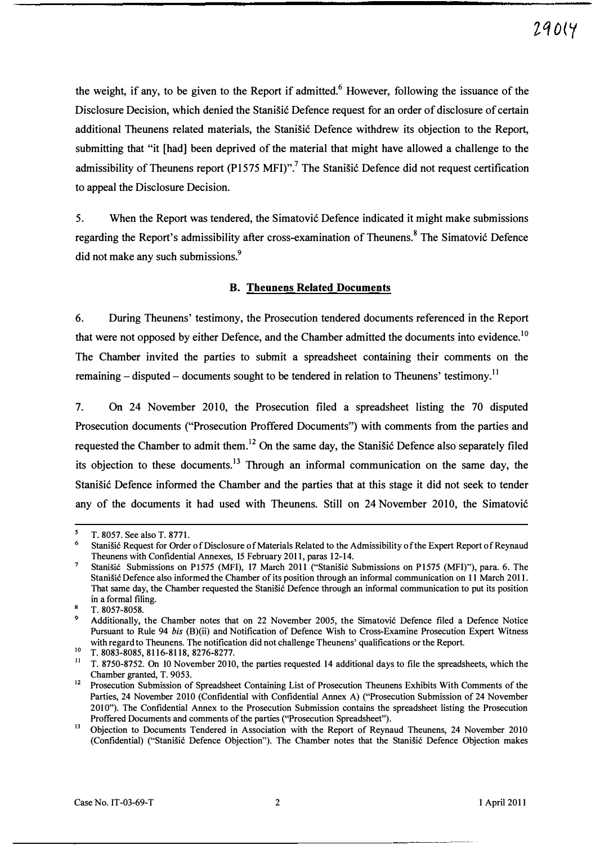the weight, if any, to be given to the Report if admitted.<sup>6</sup> However, following the issuance of the Disclosure Decision, which denied the Stanišić Defence request for an order of disclosure of certain additional Theunens related materials, the Stanišić Defence withdrew its objection to the Report, submitting that "it [had] been deprived of the material that might have allowed a challenge to the admissibility of Theunens report (P1575 MFI)".<sup>7</sup> The Stanišić Defence did not request certification to appeal the Disclosure Decision.

5. When the Report was tendered, the Simatovi6 Defence indicated it might make submissions regarding the Report's admissibility after cross-examination of Theunens.<sup>8</sup> The Simatović Defence did not make any such submissions.<sup>9</sup>

#### B. Theunens Related Documents

6. During Theunens' testimony, the Prosecution tendered documents referenced in the Report that were not opposed by either Defence, and the Chamber admitted the documents into evidence.<sup>10</sup> The Chamber invited the parties to submit a spreadsheet containing their comments on the remaining  $-$  disputed  $-$  documents sought to be tendered in relation to Theunens' testimony.<sup>11</sup>

7. On 24 November 2010, the Prosecution filed a spreadsheet listing the 70 disputed Prosecution documents ("Prosecution Proffered Documents") with comments from the parties and requested the Chamber to admit them.<sup>12</sup> On the same day, the Stanistic Defence also separately filed its objection to these documents.<sup>13</sup> Through an informal communication on the same day, the Stanišić Defence informed the Chamber and the parties that at this stage it did not seek to tender any of the documents it had used with Theunens. Still on 24 November 2010, the Simatović

T. 8057. See also T. 8771.

Stanišić Request for Order of Disclosure of Materials Related to the Admissibility of the Expert Report of Reynaud Theunens with Confidential Annexes, 15 February 2011, paras 12-14.

 $\overline{7}$ Stanišić Submissions on P1575 (MFI), 17 March 2011 ("Stanišić Submissions on P1575 (MFI)"), para. 6. The Stanišić Defence also informed the Chamber of its position through an informal communication on 11 March 2011. That same day, the Chamber requested the Stanišić Defence through an informal communication to put its position in a formal filing.

T. 8057-8058.

Additionally, the Chamber notes that on 22 November 2005, the Simatović Defence filed a Defence Notice Pursuant to Rule 94 his (B)(ii) and Notification of Defence Wish to Cross-Examine Prosecution Expert Witness with regard to Theunens. The notification did not challenge Theunens' qualifications or the Report.

 $\overline{0}$  T. 8083-8085, 8116-8118, 8276-8277.

<sup>&</sup>lt;sup>11</sup> T. 8750-8752. On 10 November 2010, the parties requested 14 additional days to file the spreadsheets, which the Chamber granted, T. 9053.

<sup>&</sup>lt;sup>12</sup> Prosecution Submission of Spreadsheet Containing List of Prosecution Theunens Exhibits With Comments of the Parties, 24 November 2010 (Confidential with Confidential Annex A) ("Prosecution Submission of 24 November 2010"). The Confidential Annex to the Prosecution Submission contains the spreadsheet listing the Prosecution Proffered Documents and comments of the parties ("Prosecution Spreadsheet").

<sup>&</sup>lt;sup>13</sup> Objection to Documents Tendered in Association with the Report of Reynaud Theunens, 24 November 2010 (Confidential) ("Stanišić Defence Objection"). The Chamber notes that the Stanišić Defence Objection makes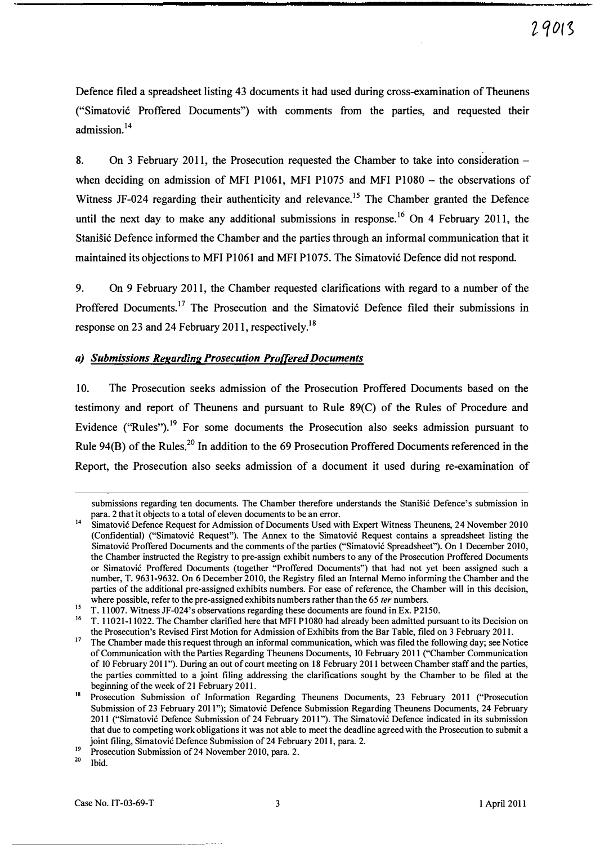Defence filed a spreadsheet listing 43 documents it had used during cross-examination of Theunens ("Simatovi6 Proffered Documents") with comments from the parties, and requested their admission. 14

8. On 3 February 2011, the Prosecution requested the Chamber to take into consideration when deciding on admission of MFI P1061, MFI P1075 and MFI P1080 - the observations of Witness JF-024 regarding their authenticity and relevance.<sup>15</sup> The Chamber granted the Defence until the next day to make any additional submissions in response.<sup>16</sup> On 4 February 2011, the Stanišić Defence informed the Chamber and the parties through an informal communication that it maintained its objections to MFI P106l and MFI PI075. The Simatovi6 Defence did not respond.

9. On 9 February 2011, the Chamber requested clarifications with regard to a number of the Proffered Documents.<sup>17</sup> The Prosecution and the Simatović Defence filed their submissions in response on 23 and 24 February 2011, respectively.<sup>18</sup>

#### a) Submissions Regarding Prosecution Proffered Documents

10. The Prosecution seeks admission of the Prosecution Proffered Documents based on the testimony and report of Theunens and pursuant to Rule 89(C) of the Rules of Procedure and Evidence ("Rules").<sup>19</sup> For some documents the Prosecution also seeks admission pursuant to Rule 94(B) of the Rules.<sup>20</sup> In addition to the 69 Prosecution Proffered Documents referenced in the Report, the Prosecution also seeks admission of a document it used during re-examination of

submissions regarding ten documents. The Chamber therefore understands the Stanišić Defence's submission in para. 2 that it objects to a total of eleven documents to be an error.

<sup>&</sup>lt;sup>14</sup> Simatovic Defence Request for Admission of Documents Used with Expert Witness Theunens, 24 November 2010 (Confidential) ("Simatovic Request"). The Annex to the Simatovic Request contains a spreadsheet listing the Simatovic Proffered Documents and the comments of the parties ("Simatovic Spreadsheet"). On 1 December 2010, the Chamber instructed the Registry to pre-assign exhibit numbers to any of the Prosecution Proffered Documents or Simatovic Proffered Documents (together "Proffered Documents") that had not yet been assigned such a number, T. 963 1-9632. On 6 December 2010, the Registry filed an Internal Memo informing the Chamber and the parties of the additional pre-assigned exhibits numbers. For ease of reference, the Chamber will in this decision, where possible, refer to the pre-assigned exhibits numbers rather than the 65 ter numbers.

<sup>&</sup>lt;sup>15</sup>T. 11007. Witness JF-024's observations regarding these documents are found in Ex. P2150.

<sup>&</sup>lt;sup>16</sup> T. 11021-11022. The Chamber clarified here that MFI P1080 had already been admitted pursuant to its Decision on the Prosecution's Revised First Motion for Admission of Exhibits from the Bar Table, filed on 3 February 2011.

<sup>&</sup>lt;sup>17</sup>The Chamber made this request through an informal communication, which was filed the following day; see Notice of Communication with the Parties Regarding Theunens Documents, 10 February 2011 ("Chamber Communication of 10 February 201 1"). During an out of court meeting on 18 February 201 1 between Chamber staff and the parties, the parties committed to a joint filing addressing the clarifications sought by the Chamber to be filed at the beginning of the week of 21 February 201l.

<sup>&</sup>lt;sup>18</sup> Prosecution Submission of Information Regarding Theunens Documents, 23 February 2011 ("Prosecution Submission of 23 February 201 1"); Simatovic Defence Submission Regarding Theunens Documents, 24 February 2011 ("Simatovic Defence Submission of 24 February 2011 "). The Simatovic Defence indicated in its submission that due to competing work obligations it was not able to meet the deadline agreed with the Prosecution to submit a joint filing, Simatović Defence Submission of 24 February 2011, para. 2.

Prosecution Submission of 24 November 2010, para. 2.<br>
<sup>19</sup><br>
<sup>19</sup>

Ibid.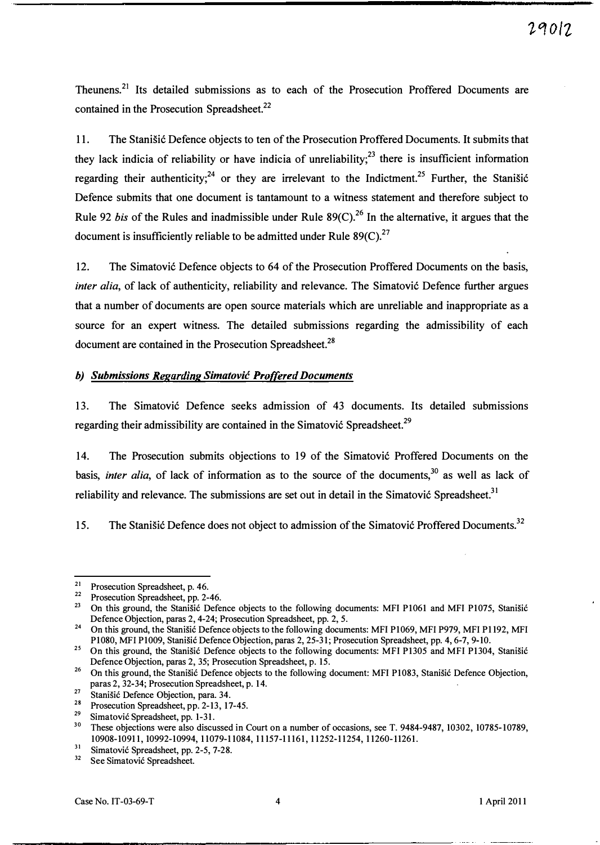Theunens.<sup>21</sup> Its detailed submissions as to each of the Prosecution Proffered Documents are contained in the Prosecution Spreadsheet.<sup>22</sup>

11. The Stanišić Defence objects to ten of the Prosecution Proffered Documents. It submits that they lack indicia of reliability or have indicia of unreliability;<sup>23</sup> there is insufficient information regarding their authenticity;<sup>24</sup> or they are irrelevant to the Indictment.<sup>25</sup> Further, the Stanišić Defence submits that one document is tantamount to a witness statement and therefore subject to Rule 92 bis of the Rules and inadmissible under Rule 89(C).<sup>26</sup> In the alternative, it argues that the document is insufficiently reliable to be admitted under Rule  $89(C)$ .<sup>27</sup>

12. The Simatović Defence objects to 64 of the Prosecution Proffered Documents on the basis, inter alia, of lack of authenticity, reliability and relevance. The Simatović Defence further argues that a number of documents are open source materials which are unreliable and inappropriate as a source for an expert witness. The detailed submissions regarding the admissibility of each document are contained in the Prosecution Spreadsheet.<sup>28</sup>

#### b) Submissions Regarding Simatovic Proffered Documents

13. The Simatovi6 Defence seeks admission of 43 documents. Its detailed submissions regarding their admissibility are contained in the Simatović Spreadsheet.<sup>29</sup>

14. The Prosecution submits objections to 19 of the Simatović Proffered Documents on the basis, *inter alia*, of lack of information as to the source of the documents,  $30$  as well as lack of reliability and relevance. The submissions are set out in detail in the Simatović Spreadsheet.<sup>31</sup>

15. The Stanišić Defence does not object to admission of the Simatović Proffered Documents.<sup>32</sup>

<sup>&</sup>lt;sup>21</sup> Prosecution Spreadsheet, p. 46.<br><sup>22</sup> Prosecution Spreadsheet, pr.  $2^{1}$ 

 $^{22}$  Prosecution Spreadsheet, pp. 2-46.<br> $^{23}$  On this ground, the Stepičié Defea

On this ground, the Stanišić Defence objects to the following documents: MFI P1061 and MFI P1075, Stanišić Defence Objection, paras 2, 4-24; Prosecution Spreadsheet, pp. 2, 5.

<sup>&</sup>lt;sup>24</sup> On this ground, the Stanišic Defence objects to the following documents: MFI P1069, MFI P979, MFI P1192, MFI P1080, MFI P1009, Stanisic Defence Objection, paras 2, 25-3 1; Prosecution Spreadsheet, pp. 4, 6-7, 9-10.

<sup>&</sup>lt;sup>25</sup> On this ground, the Stanisic Defence objects to the following documents: MFI P1305 and MFI P1304, Stanisic Defence Objection, paras 2, 35; Prosecution Spreadsheet, p. 15.

<sup>&</sup>lt;sup>26</sup> On this ground, the Stanisic Defence objects to the following document: MFI P1083, Stanisic Defence Objection, paras 2, 32-34; Prosecution Spreadsheet, p. 14.

<sup>&</sup>lt;sup>27</sup> Stanišić Defence Objection, para. 34.<br><sup>28</sup> Processution Spreadsheet, p.p. 2, 12, 13

<sup>&</sup>lt;sup>28</sup> Prosecution Spreadsheet, pp. 2-13, 17-45.<br><sup>29</sup> Simeteria Spreadsheet, pp. 1.21.

 $^{29}$  Simatović Spreadsheet, pp. 1-31.

These objections were also discussed in Court on a number of occasions, see T. 9484-9487, 10302, 10785-10789, 10908-1091 1, 10992-10994, 1 1079-11084, 1 1 157-1 1 161, 1 1252-1 1254, 1 1260-1126l.

<sup>&</sup>lt;sup>31</sup> Simatović Spreadsheet, pp. 2-5, 7-28.<br> $32 \text{ See Simatović S$ 

See Simatović Spreadsheet.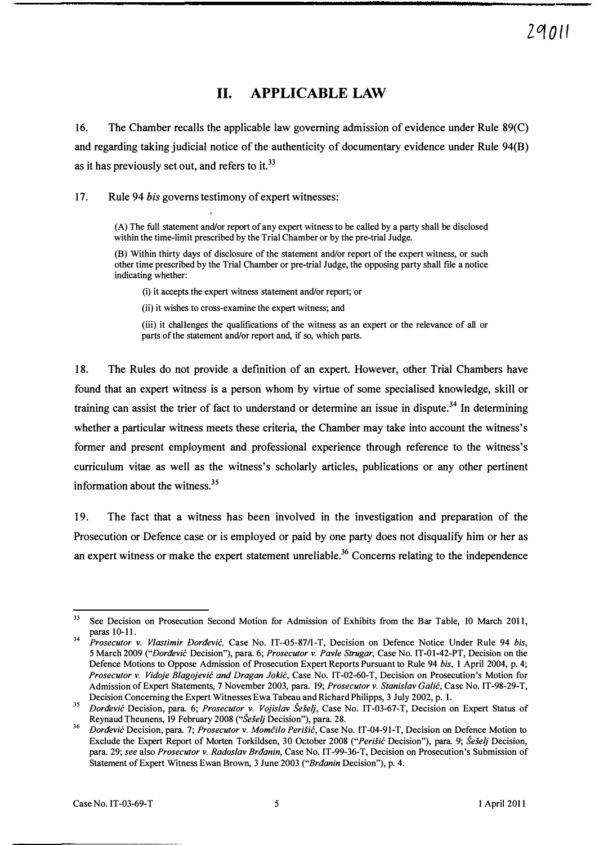# 11. APPLICABLE LAW

16. The Chamber recalls the applicable law governing admission of evidence under Rule 89(C) and regarding taking judicial notice of the authenticity of documentary evidence under Rule 94(B) as it has previously set out, and refers to  $it^{33}$ 

17. Rule 94 his governs testimony of expert witnesses:

(A) The full statement and/or report of any expert witness to be called by a party shall be disclosed within the time-limit prescribed by the Trial Chamber or by the pre-trial Judge.

(B) Within thirty days of disclosure of the statement and/or report of the expert witness, or such other time prescribed by the Trial Chamber or pre-trial Judge, the opposing party shall file a notice indicating whether:

(i) it accepts the expert witness statement and/or report; or

(ii) it wishes to cross-examine the expert witness; and

(iii) it challenges the qualifications of the witness as an expert or the relevance of all or parts of the statement and/or report and, if so, which parts.

18. The Rules do not provide a definition of an expert. However, other Trial Chambers have found that an expert witness is a person whom by virtue of some specialised knowledge, skill or training can assist the trier of fact to understand or determine an issue in dispute.<sup>34</sup> In determining whether a particular witness meets these criteria, the Chamber may take into account the witness's former and present employment and professional experience through reference to the witness's curriculum vitae as well as the witness's scholarly articles, publications or any other pertinent information about the witness.<sup>35</sup>

19. The fact that a witness has been involved in the investigation and preparation of the Prosecution or Defence case or is employed or paid by one party does not disqualify him or her as an expert witness or make the expert statement unreliable.<sup>36</sup> Concerns relating to the independence

<sup>&</sup>lt;sup>33</sup> See Decision on Prosecution Second Motion for Admission of Exhibits from the Bar Table, 10 March 2011,  $\frac{1}{34}$  paras 10-11.

Prosecutor v. Vlastimir Đorđević, Case No. IT-05-87/1-T, Decision on Defence Notice Under Rule 94 bis, 5 March 2009 ("Doraevic Decision"), para. 6; Prosecutor v. Pavle Strugar, Case No. IT-01-42-PT, Decision on the Defence Motions to Oppose Admission of Prosecution Expert Reports Pursuant to Rule 94 his, 1 April 2004, p. 4; Prosecutor v. Vidoje Blagojević and Dragan Jokić, Case No. IT-02-60-T, Decision on Prosecution's Motion for Admission of Expert Statements, 7 November 2003, para. 19; Prosecutor v. Stanislav Galic, Case No. IT-98-29-T, Decision Concerning the Expert Witnesses Ewa Tabeau and Richard Philipps, 3 July 2002, p. 1.

Borston Concerning the Expert with the corresponding the concernment of the 13-67-T, Decision on Expert Status of Bordevic Decision, para. 6; Prosecutor v. Vojislav Šešelj, Case No. IT-03-67-T, Decision on Expert Status of Reynaud Theunens, 19 February 2008 ("Šešelj Decision"), para. 28.

<sup>&</sup>lt;sup>36</sup> Dordević Decision, para. 7; Prosecutor v. Momčilo Perišić, Case No. IT-04-91-T, Decision on Defence Motion to Exclude the Expert Report of Morten Torkildsen, 30 October 2008 ("Perisic Decision"), para. 9; Seselj Decision, para. 29; see also Prosecutor v. Radoslav Braanin, Case No. IT-99-36-T, Decision on Prosecution's Submission of Statement of Expert Witness Ewan Brown, 3 June 2003 ("Brdanin Decision"), p. 4.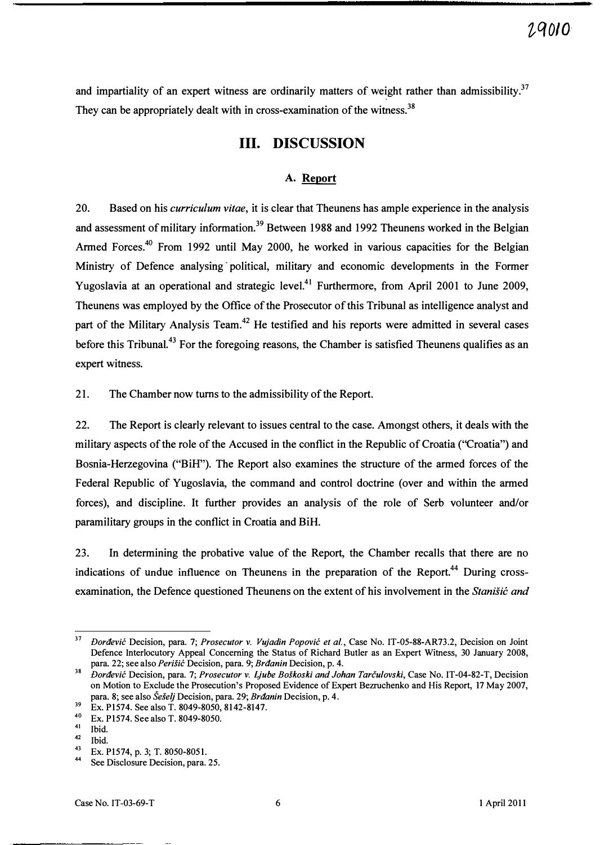and impartiality of an expert witness are ordinarily matters of weight rather than admissibility.<sup>37</sup> They can be appropriately dealt with in cross-examination of the witness.<sup>38</sup>

## Ill. DISCUSSION

#### A. Report

20. Based on his *curriculum vitae*, it is clear that Theunens has ample experience in the analysis and assessment of military information.<sup>39</sup> Between 1988 and 1992 Theunens worked in the Belgian Armed Forces.<sup>40</sup> From 1992 until May 2000, he worked in various capacities for the Belgian Ministry of Defence analysing political, military and economic developments in the Former Yugoslavia at an operational and strategic level.<sup>41</sup> Furthermore, from April 2001 to June 2009, Theunens was employed by the Office of the Prosecutor of this Tribunal as intelligence analyst and part of the Military Analysis Team.<sup>42</sup> He testified and his reports were admitted in several cases before this Tribunal.<sup>43</sup> For the foregoing reasons, the Chamber is satisfied Theunens qualifies as an expert witness.

21. The Chamber now turns to the admissibility of the Report.

22. The Report is clearly relevant to issues central to the case. Amongst others, it deals with the military aspects of the role of the Accused in the conflict in the Republic of Croatia ("Croatia") and Bosnia-Herzegovina ("BiH"). The Report also examines the structure of the armed forces of the F ederal Republic of Yugoslavia, the command and control doctrine (over and within the armed forces), and discipline. It further provides an analysis of the role of Serb volunteer and/or paramilitary groups in the conflict in Croatia and BiH.

23. In determining the probative value of the Report, the Chamber recalls that there are no indications of undue influence on Theunens in the preparation of the Report.<sup>44</sup> During crossexamination, the Defence questioned Theunens on the extent of his involvement in the Stanisic and

<sup>&</sup>lt;sup>37</sup> Dorđević Decision, para. 7; Prosecutor v. Vujadin Popović et al., Case No. IT-05-88-AR73.2, Decision on Joint Defence Interlocutory Appeal Concerning the Status of Richard Butler as an Expert Witness, 30 January 2008, para. 22; see also Perisic Decision, para. 9; Brdanin Decision, p. 4.

<sup>&</sup>lt;sup>38</sup> Dordević Decision, para. 7; Prosecutor v. Ljube Boškoski and Johan Tarčulovski, Case No. IT-04-82-T, Decision on Motion to Exclude the Prosecution's Proposed Evidence of Expert Bezruchenko and His Report, 17 May 2007, para. 8; see also Šešelj Decision, para. 29; Brđanin Decision, p. 4.

<sup>39</sup>Ex. P1574. See also T. 8049-8050, 8142-8147.

 $^{40}$  Ex. P1574. See also T. 8049-8050.

<sup>41</sup>Ibid.

 $\frac{42}{43}$ <sup>2</sup>Ibid.

 $\frac{43}{44}$  Ex. P1574, p. 3; T. 8050-8051.

See Disclosure Decision, para. 25.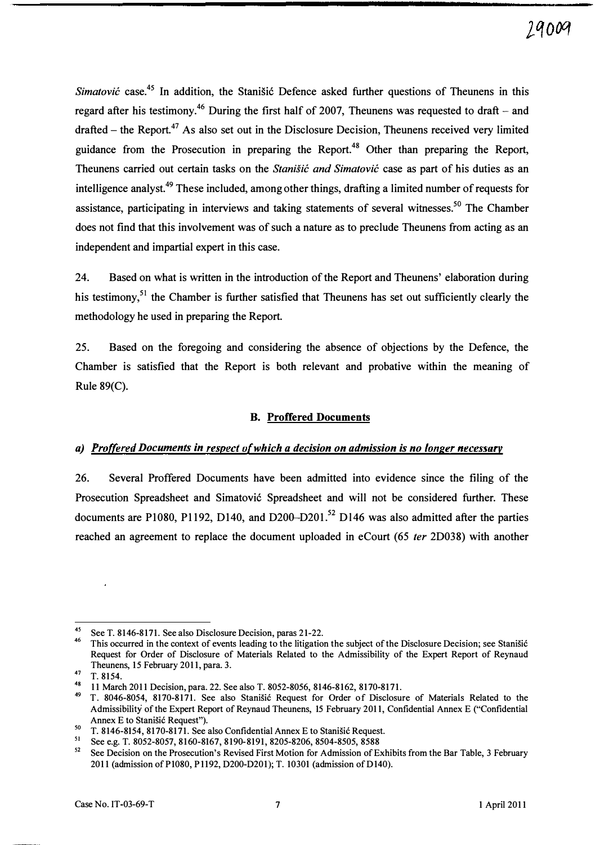Simatović case.<sup>45</sup> In addition, the Stanišić Defence asked further questions of Theunens in this regard after his testimony.<sup>46</sup> During the first half of 2007, Theunens was requested to draft – and  $draffed - the Report.<sup>47</sup> As also set out in the Disclosure Decision. Theunens received very limited$ guidance from the Prosecution in preparing the Report.<sup>48</sup> Other than preparing the Report, Theunens carried out certain tasks on the Stanišić and Simatović case as part of his duties as an intelligence analyst.<sup>49</sup> These included, among other things, drafting a limited number of requests for assistance, participating in interviews and taking statements of several witnesses.<sup>50</sup> The Chamber does not find that this involvement was of such a nature as to preclude Theunens from acting as an independent and impartial expert in this case.

24. Based on what is written in the introduction of the Report and Theunens' elaboration during his testimony,<sup>51</sup> the Chamber is further satisfied that Theunens has set out sufficiently clearly the methodology he used in preparing the Report.

25. Based on the foregoing and considering the absence of objections by the Defence, the Chamber is satisfied that the Report is both relevant and probative within the meaning of Rule 89(C).

#### B. Proffered Documents

#### a) Proffered Documents in respect of which a decision on admission is no longer necessary

26. Several Proffered Documents have been admitted into evidence since the filing of the Prosecution Spreadsheet and Simatović Spreadsheet and will not be considered further. These documents are P1080, P1192, D140, and D200-D201.<sup>52</sup> D146 was also admitted after the parties reached an agreement to replace the document uploaded in eCourt (65 ter 2D038) with another

<sup>&</sup>lt;sup>45</sup> See T. 8146-8171. See also Disclosure Decision, paras 21-22.

This occurred in the context of events leading to the litigation the subject of the Disclosure Decision; see Stanišić Request for Order of Disclosure of Materials Related to the Admissibility of the Expert Report of Reynaud Theunens, 15 February 2011, para. 3. 47

 $\frac{47}{48}$  T. 8154.

<sup>&</sup>lt;sup>48</sup> 11 March 2011 Decision, para. 22. See also T. 8052-8056, 8146-8162, 8170-8171.<br><sup>49</sup> T. 8046-8054, 8170-8171, See also, Stanišić Bequest for Order of Disclosur

<sup>49</sup>T. 8046-8054, 8170-8 171. See also StaniSic Request for Order of Disclosure of Materials Related to the Admissibility of the Expert Report of Reynaud Theunens, 15 February 201 1, Confidential Annex E ("Confidential Annex E to Stanišić Request").

 $\frac{50}{100}$  T. 8146-8154, 8170-8171. See also Confidential Annex E to Stanisic Request.

<sup>&</sup>lt;sup>51</sup> See e.g. T. 8052-8057, 8160-8167, 8190-8191, 8205-8206, 8504-8505, 8588<br><sup>52</sup> See Decision on the Presequition's Bouised First Metion for Admission of Fa

See Decision on the Prosecution's Revised First Motion for Admission of Exhibits from the Bar Table, 3 February 2011 (admission of P1080, Pl192, D200-D201); T. 10301 (admission of D140).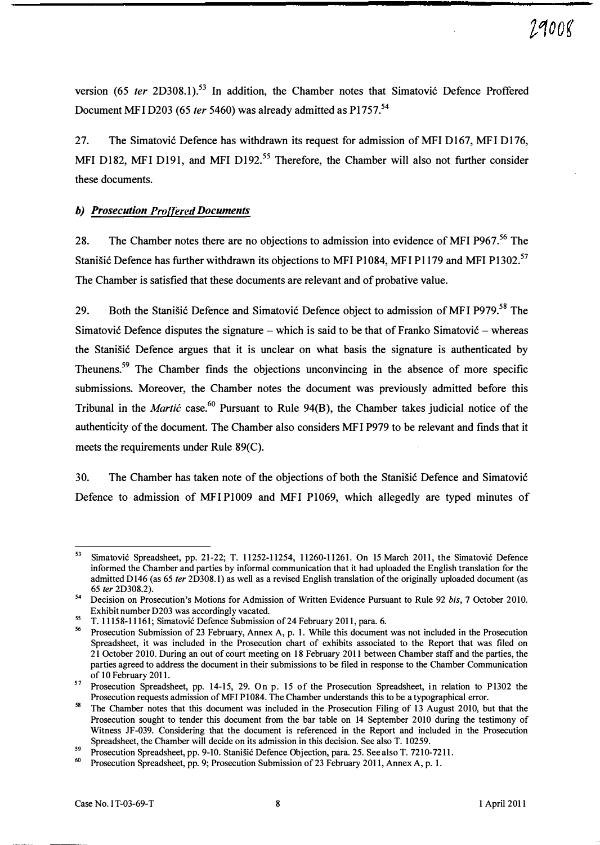version (65 ter 2D308.1).<sup>53</sup> In addition, the Chamber notes that Simatović Defence Proffered Document MFI D203 (65 ter 5460) was already admitted as  $P1757$ <sup>54</sup>

27. The Simatović Defence has withdrawn its request for admission of MFI D167, MFI D176, MFI D182, MFI D191, and MFI D192.<sup>55</sup> Therefore, the Chamber will also not further consider these documents.

#### b) Prosecution Proffered Documents

28. The Chamber notes there are no objections to admission into evidence of MFI P967.<sup>56</sup> The Stanišić Defence has further withdrawn its objections to MFI P1084, MFI P1179 and MFI P1302.<sup>57</sup> The Chamber is satisfied that these documents are relevant and of probative value.

29. Both the Stanišić Defence and Simatović Defence object to admission of MFI P979.<sup>58</sup> The Simatović Defence disputes the signature  $-$  which is said to be that of Franko Simatović  $-$  whereas the Stanišić Defence argues that it is unclear on what basis the signature is authenticated by Theunens.59 The Chamber finds the objections unconvincing in the absence of more specific submissions. Moreover, the Chamber notes the document was previously admitted before this Tribunal in the *Martic* case.<sup>60</sup> Pursuant to Rule 94(B), the Chamber takes judicial notice of the authenticity of the document. The Chamber also considers MPI P979 to be relevant and finds that it meets the requirements under Rule 89(C).

30. The Chamber has taken note of the objections of both the Stanišić Defence and Simatović Defence to admission of MPI PI009 and MPI PI069, which allegedly are typed minutes of

<sup>&</sup>lt;sup>53</sup> Simatović Spreadsheet, pp. 21-22; T. 11252-11254, 11260-11261. On 15 March 2011, the Simatović Defence informed the Chamber and parties by informal communication that it had uploaded the English translation for the admitted D146 (as 65 ter 2D308.1) as well as a revised English translation of the originally uploaded document (as 65 ter 2D308.2).

<sup>&</sup>lt;sup>54</sup> Decision on Prosecution's Motions for Admission of Written Evidence Pursuant to Rule 92 bis, 7 October 2010. Exhibit number D203 was accordingly vacated.

<sup>&</sup>lt;sup>55</sup> T. 11158-11161; Simatović Defence Submission of 24 February 2011, para. 6.

<sup>&</sup>lt;sup>56</sup> Prosecution Submission of 23 February, Annex A, p. 1. While this document was not included in the Prosecution Spreadsheet, it was included in the Prosecution chart of exhibits associated to the Report that was filed on 21 October 2010. During an out of court meeting on 18 February 2011 between Chamber staff and the parties, the parties agreed to address the document in their submissions to be filed in response to the Chamber Communication of 10 February 2011.

<sup>&</sup>lt;sup>57</sup> Prosecution Spreadsheet, pp. 14-15, 29. On p. 15 of the Prosecution Spreadsheet, in relation to P1302 the Prosecution requests admission of MFI P1084. The Chamber understands this to be a typographical error.

<sup>&</sup>lt;sup>58</sup> The Chamber notes that this document was included in the Prosecution Filing of 13 August 2010, but that the Prosecution sought to tender this document from the bar table on 14 September 2010 during the testimony of Witness JF-039. Considering that the document is referenced in the Report and included in the Prosecution Spreadsheet, the Chamber will decide on its admission in this decision. See also T. 10259.

<sup>&</sup>lt;sup>59</sup> Prosecution Spreadsheet, pp. 9-10. Stanišić Defence Objection, para. 25. See also T. 7210-7211.

Prosecution Spreadsheet, pp. 9; Prosecution Submission of 23 February 2011, Annex A, p. 1.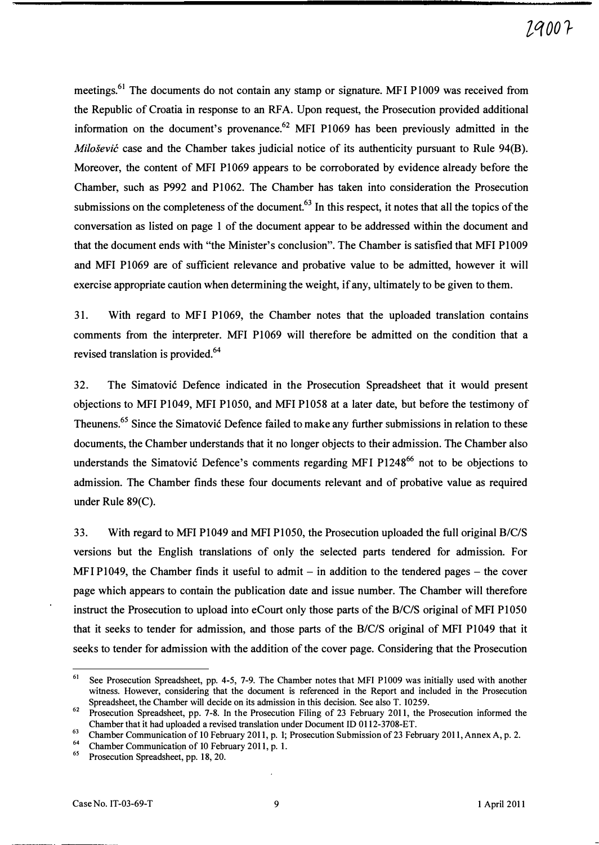meetings.<sup>61</sup> The documents do not contain any stamp or signature. MFI P1009 was received from the Republic of Croatia in response to an RFA. Upon request, the Prosecution provided additional information on the document's provenance.<sup>62</sup> MFI P1069 has been previously admitted in the Milošević case and the Chamber takes judicial notice of its authenticity pursuant to Rule 94(B). Moreover, the content of MPI P1069 appears to be corroborated by evidence already before the Chamber, such as P992 and PI062. The Chamber has taken into consideration the Prosecution submissions on the completeness of the document.<sup>63</sup> In this respect, it notes that all the topics of the conversation as listed on page I of the document appear to be addressed within the document and that the document ends with "the Minister's conclusion". The Chamber is satisfied that MPI PI009 and MPI PI069 are of sufficient relevance and probative value to be admitted, however it will exercise appropriate caution when determining the weight, if any, ultimately to be given to them.

31. With regard to MFI P1069, the Chamber notes that the uploaded translation contains comments from the interpreter. MPI PI069 will therefore be admitted on the condition that a revised translation is provided.<sup>64</sup>

32. The Simatovic Defence indicated in the Prosecution Spreadsheet that it would present objections to MPI P1049, MPI P1050, and MPI PI058 at a later date, but before the testimony of Theunens.<sup>65</sup> Since the Simatovic Defence failed to make any further submissions in relation to these documents, the Chamber understands that it no longer objects to their admission. The Chamber also understands the Simatović Defence's comments regarding MFI P1248<sup>66</sup> not to be objections to admission. The Chamber finds these four documents relevant and of probative value as required under Rule 89(C).

33. With regard to MPI P1049 and MPI P1050, the Prosecution uploaded the full original B/c/S versions but the English translations of only the selected parts tendered for admission. For MFI P1049, the Chamber finds it useful to admit  $-$  in addition to the tendered pages  $-$  the cover page which appears to contain the publication date and issue number. The Chamber will therefore instruct the Prosecution to upload into eCourt only those parts of the B/C/S original of MPI P1050 that it seeks to tender for admission, and those parts of the B/C/S original of MPI P1049 that it seeks to tender for admission with the addition of the cover page. Considering that the Prosecution

 $61$  See Prosecution Spreadsheet, pp. 4-5, 7-9. The Chamber notes that MFI P1009 was initially used with another witness. However, considering that the document is referenced in the Report and included in the Prosecution Spreadsheet, the Chamber will decide on its admission in this decision. See also T. 10259.

<sup>&</sup>lt;sup>62</sup> Prosecution Spreadsheet, pp. 7-8. In the Prosecution Filing of 23 February 2011, the Prosecution informed the Chamber that it had uploaded a revised translation under Document ID 01 12-3708-ET.

<sup>&</sup>lt;sup>63</sup> Chamber Communication of 10 February 2011, p. 1; Prosecution Submission of 23 February 2011, Annex A, p. 2.

<sup>&</sup>lt;sup>64</sup> Chamber Communication of 10 February 2011, p. 1.<br><sup>65</sup> Processing Sansadabast may 18, 20

Prosecution Spreadsheet, pp. 18, 20.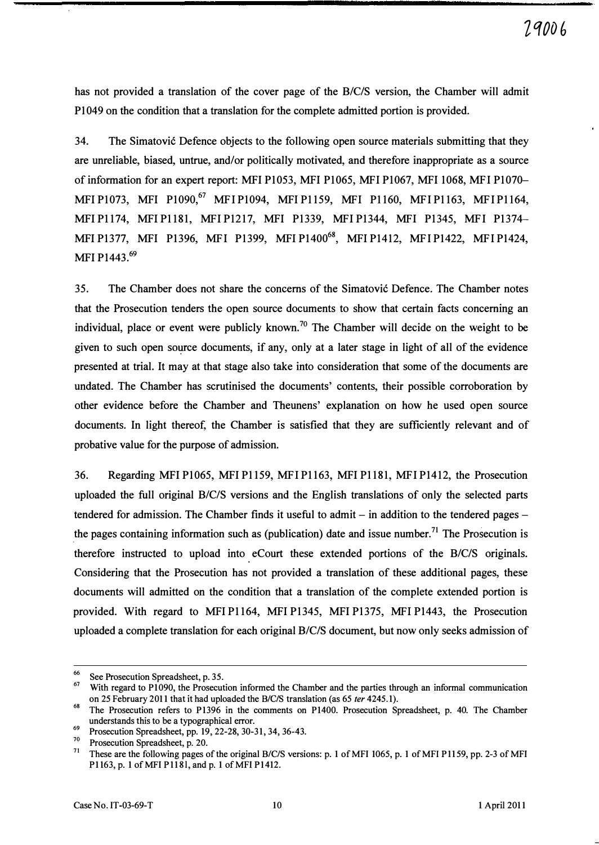has not provided a translation of the cover page of the B/C/S version, the Chamber will admit P1049 on the condition that a translation for the complete admitted portion is provided.

34. The Simatovic Defence objects to the following open source materials submitting that they are unreliable, biased, untrue, and/or politically motivated, and therefore inappropriate as a source of information for an expert report: MPI PI053, MPI PI065, MPI PI067, MPI 1068, MPI P1070- MFI P1073, MFI P1090,<sup>67</sup> MFI P1094, MFI P1159, MFI P1160, MFI P1163, MFI P1164, MPI P1174, MPI P1181, MPI P1217, MPI P1339, MPI P1344, MPI P1345, MPI P1374- MFI P1377, MFI P1396, MFI P1399, MFI P1400<sup>68</sup>, MFI P1412, MFI P1422, MFI P1424, MFI P1443.<sup>69</sup>

35. The Chamber does not share the concerns of the Simatovic Defence. The Chamber notes that the Prosecution tenders the open source documents to show that certain facts concerning an individual, place or event were publicly known.<sup>70</sup> The Chamber will decide on the weight to be given to such open source documents, if any, only at a later stage in light of all of the evidence presented at trial. It may at that stage also take into consideration that some of the documents are undated. The Chamber has scrutinised the documents' contents, their possible corroboration by other evidence before the Chamber and Theunens' explanation on how he used open source documents. In light thereof, the Chamber is satisfied that they are sufficiently relevant and of probative value for the purpose of admission.

36. Regarding MFI PI065, MPI P1159, MPI P1163, MPI P1181, MPI P1412, the Prosecution uploaded the full original BICIS versions and the English translations of only the selected parts tendered for admission. The Chamber finds it useful to admit  $-$  in addition to the tendered pages  $$ the pages containing information such as (publication) date and issue number.<sup>71</sup> The Prosecution is therefore instructed to upload into eCourt these extended portions of the B/c/S originals. Considering that the Prosecution has not provided a translation of these additional pages, these documents will admitted on the condition that a translation of the complete extended portion is provided. With regard to MPI P1164, MPI P1345, MFI P1375, MPI P1443, the Prosecution uploaded a complete translation for each original B/c/S document, but now only seeks admission of

 $^{66}$  See Prosecution Spreadsheet, p. 35.

With regard to P1090, the Prosecution informed the Chamber and the parties through an informal communication on 25 February 2011 that it had uploaded the B/C/S translation (as 65 ter 4245.1).

<sup>&</sup>lt;sup>68</sup> The Prosecution refers to P1396 in the comments on P1400. Prosecution Spreadsheet, p. 40. The Chamber understands this to be a typographical error.

 $\frac{69}{69}$  Prosecution Spreadsheet, pp. 19, 22-28, 30-31, 34, 36-43.

 $^{70}$  Prosecution Spreadsheet, p. 20.

These are the following pages of the original B/C/S versions: p. 1 of MFI 1065, p. 1 of MFI P1159, pp. 2-3 of MFI P1 163, p. 1 of MFI P118l, and p. 1 of MFI Pl412.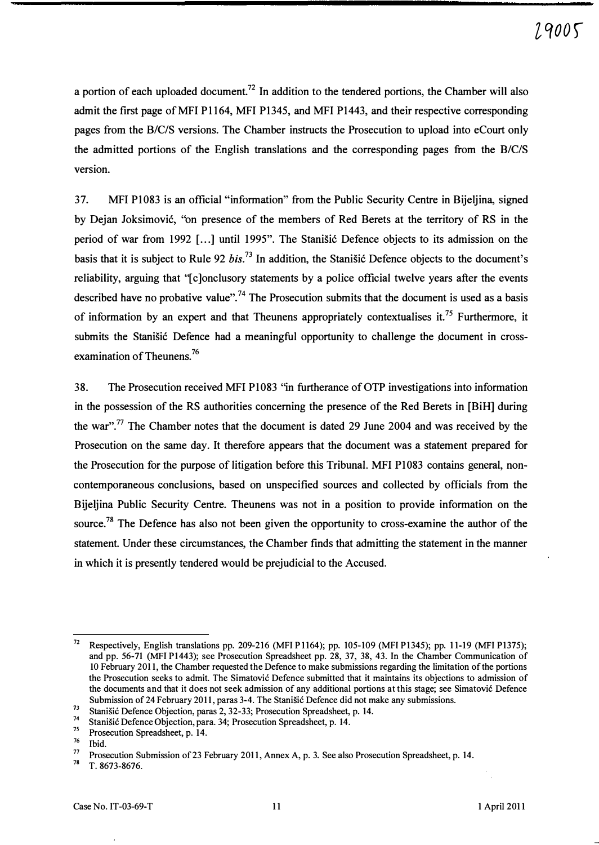a portion of each uploaded document.<sup>72</sup> In addition to the tendered portions, the Chamber will also admit the first page of MFI P1164, MFI P1345, and MFI P1443, and their respective corresponding pages from the B/c/S versions. The Chamber instructs the Prosecution to upload into eCourt only the admitted portions of the English translations and the corresponding pages from the B/c/S version.

37. MFI PI083 is an official "information" from the Public Security Centre in Bijeljina, signed by Dejan Joksimovi6, "on presence of the members of Red Berets at the territory of RS in the period of war from 1992 [...] until 1995". The Stanišić Defence objects to its admission on the basis that it is subject to Rule 92 bis.<sup>73</sup> In addition, the Stanistic Defence objects to the document's reliability, arguing that "[c]onclusory statements by a police official twelve years after the events described have no probative value".<sup>74</sup> The Prosecution submits that the document is used as a basis of information by an expert and that Theunens appropriately contextualises it.<sup>75</sup> Furthermore, it submits the Stanišić Defence had a meaningful opportunity to challenge the document in crossexamination of Theunens.<sup>76</sup>

38. The Prosecution received MFI P1083 "in furtherance of OTP investigations into information in the possession of the RS authorities concerning the presence of the Red Berets in [BiH] during the war".<sup>77</sup> The Chamber notes that the document is dated 29 June 2004 and was received by the Prosecution on the same day. It therefore appears that the document was a statement prepared for the Prosecution for the purpose of litigation before this Tribunal. MFI P1083 contains general, noncontemporaneous conclusions, based on unspecified sources and collected by officials from the BijeIjina Public Security Centre. Theunens was not in a position to provide information on the source.<sup>78</sup> The Defence has also not been given the opportunity to cross-examine the author of the statement. Under these circumstances, the Chamber finds that admitting the statement in the manner in which it is presently tendered would be prejudicial to the Accused.

<sup>2</sup>Respectively, English translations pp. 209-216 (MPI Pl164); pp. 105-109 (MFI P1345); pp. 1 1-19 (MPI P1375); and pp. 56-71 (MPI P1443); see Prosecution Spreadsheet pp. 28, 37, 38, 43. In the Chamber Communication of 10 February 201 1, the Chamber requested the Defence to make submissions regarding the limitation of the portions the Prosecution seeks to admit. The Simatovic Defence submitted that it maintains its objections to admission of the documents and that it does not seek admission of any additional portions at this stage; see Simatovic Defence Submission of 24 February 2011, paras 3-4. The Stanisic Defence did not make any submissions.

<sup>&</sup>lt;sup>73</sup> Stanišić Defence Objection, paras 2, 32-33; Prosecution Spreadsheet, p. 14.

Stanišić Defence Objection, para. 34; Prosecution Spreadsheet, p. 14.

Prosecution Spreadsheet, p. 14.

<sup>76&</sup>lt;br>77 <sup>6</sup>Ibid.

<sup>77</sup>Prosecution Submission of 23 February 2011, Annex A, p. 3. See also Prosecution Spreadsheet, p. 14.

<sup>78</sup> <sup>8</sup>T. 8673-8676.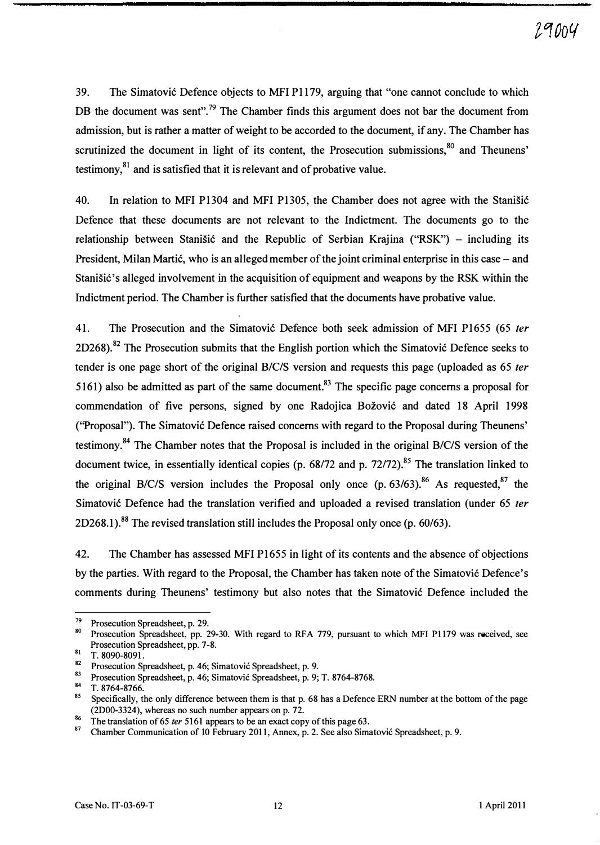39. The Simatovic Defence objects to MFI P1179, arguing that "one cannot conclude to which DB the document was sent".<sup>79</sup> The Chamber finds this argument does not bar the document from admission, but is rather a matter of weight to be accorded to the document, if any. The Chamber has scrutinized the document in light of its content, the Prosecution submissions,  $80$  and Theunens' testimony, $81$  and is satisfied that it is relevant and of probative value.

40. In relation to MFI P1304 and MFI P1305, the Chamber does not agree with the Stanisic Defence that these documents are not relevant to the Indictment. The documents go to the relationship between Stanišić and the Republic of Serbian Krajina ("RSK") – including its President, Milan Martić, who is an alleged member of the joint criminal enterprise in this case – and Stanišić's alleged involvement in the acquisition of equipment and weapons by the RSK within the Indictment period. The Chamber is further satisfied that the documents have probative value.

41. The Prosecution and the Simatovic Defence both seek admission of MFI P1655 (65 ter 2D268).<sup>82</sup> The Prosecution submits that the English portion which the Simatović Defence seeks to tender is one page short of the original B/C/S version and requests this page (uploaded as 65 ter 5161) also be admitted as part of the same document.<sup>83</sup> The specific page concerns a proposal for commendation of five persons, signed by one Radojica Bozovic and dated 18 April 1998 ("Proposal"). The Simatovic Defence raised concerns with regard to the Proposal during Theunens' testimony.<sup>84</sup> The Chamber notes that the Proposal is included in the original B/C/S version of the document twice, in essentially identical copies (p.  $68/72$  and p.  $72/72$ ).<sup>85</sup> The translation linked to the original B/C/S version includes the Proposal only once  $(p. 63/63)$ .<sup>86</sup> As requested, <sup>87</sup> the Simatović Defence had the translation verified and uploaded a revised translation (under 65 ter 2D268.1).88 The revised translation still includes the Proposal only once (p. 60/63).

42. The Chamber has assessed MFI P1655 in light of its contents and the absence of objections by the parties. With regard to the Proposal, the Chamber has taken note of the Simatović Defence's comments during Theunens' testimony but also notes that the Simatovic Defence included the

 $^{79}$  Prosecution Spreadsheet, p. 29.

<sup>80</sup> Prosecution Spreadsheet, pp. 29-30. With regard to RFA 779, pursuant to which MPI P1 179 was received, see Prosecution Spreadsheet, pp. 7-8.

<sup>8</sup>  $\frac{1}{82}$  T. 8090-8091.

<sup>&</sup>lt;sup>82</sup> Prosecution Spreadsheet, p. 46; Simatovic Spreadsheet, p. 9.<br><sup>83</sup> Prosecution Spreadsheet, p. 46; Simatovic Spreadsheet, p. 01

<sup>&</sup>lt;sup>83</sup> Prosecution Spreadsheet, p. 46; Simatovic Spreadsheet, p. 9; T. 8764-8768.

 $\frac{84}{85}$  T. 8764-8766.

Specifically, the only difference between them is that p. 68 has a Defence ERN number at the bottom of the page (2DOO-3324), whereas no such number appears on p. 72.

<sup>&</sup>lt;sup>86</sup> The translation of 65 *ter* 5161 appears to be an exact copy of this page 63.<br><sup>87</sup> Chambas Communication of 10 Echmany 2011, Annoy n.<sup>2</sup>, See also Simu

<sup>87</sup>Chamber Communication of 10 February 201 1, Annex, p. 2. See also Simatovic Spreadsheet, p. 9.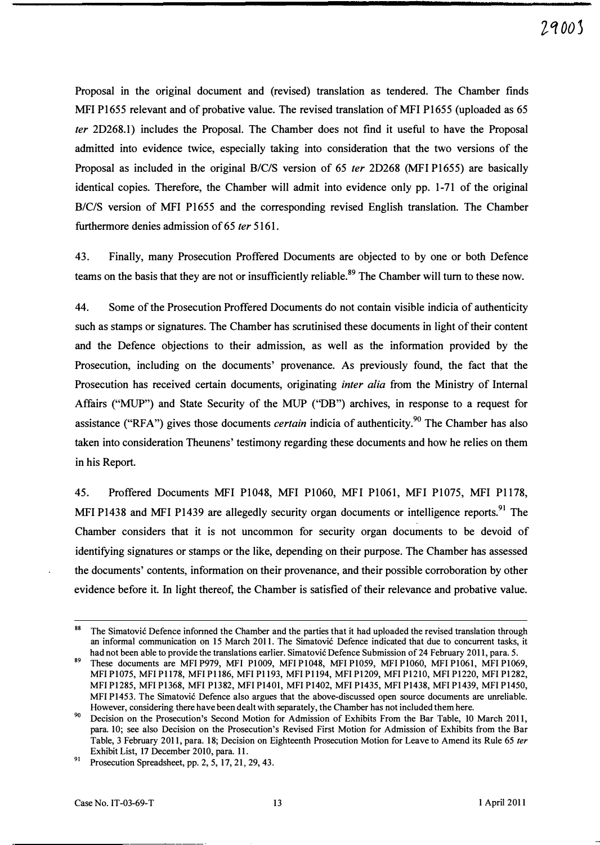Proposal in the original document and (revised) translation as tendered. The Chamber finds MPI P1655 relevant and of probative value. The revised translation of MPI P1655 (uploaded as 65 ter 2D268.1) includes the Proposal. The Chamber does not find it useful to have the Proposal admitted into evidence twice, especially taking into consideration that the two versions of the Proposal as included in the original B/C/S version of 65 ter 2D268 (MFI P1655) are basically identical copies. Therefore, the Chamber will admit into evidence only pp. 1-71 of the original B/C/S version of MFI P1655 and the corresponding revised English translation. The Chamber furthermore denies admission of 65 ter 5161.

43. Finally, many Prosecution Proffered Documents are objected to by one or both Defence teams on the basis that they are not or insufficiently reliable.<sup>89</sup> The Chamber will turn to these now.

44. Some of the Prosecution Proffered Documents do not contain visible indicia of authenticity such as stamps or signatures. The Chamber has scrutinised these documents in light of their content and the Defence objections to their admission, as well as the information provided by the Prosecution, including on the documents' provenance. As previously found, the fact that the Prosecution has received certain documents, originating *inter alia* from the Ministry of Internal Affairs ("MUP") and State Security of the MUP ("DB") archives, in response to a request for assistance ("RFA") gives those documents *certain* indicia of authenticity.<sup>90</sup> The Chamber has also taken into consideration Theunens' testimony regarding these documents and how he relies on them in his Report.

45. Proffered Documents MPI P1048, MPI PI060, MPI P1061, MPI P1075, MPI P1178, MFI P1438 and MFI P1439 are allegedly security organ documents or intelligence reports.<sup>91</sup> The Chamber considers that it is not uncommon for security organ documents to be devoid of identifying signatures or stamps or the like, depending on their purpose. The Chamber has assessed the documents' contents, information on their provenance, and their possible corroboration by other evidence before it. In light thereof, the Chamber is satisfied of their relevance and probative value.

<sup>&</sup>lt;sup>88</sup> The Simatović Defence informed the Chamber and the parties that it had uploaded the revised translation through an informal communication on 15 March 2011. The Simatovic Defence indicated that due to concurrent tasks, it had not been able to provide the translations earlier. Simatovic Defence Submission of 24 February 2011, para. 5.

<sup>&</sup>lt;sup>89</sup> These documents are MFI P979, MFI P1009, MFI P1048, MFI P1059, MFI P1060, MFI P1061, MFI P1069, MFI P1075, MFI P1l78, MFI P1l86, MFI P1 l93, MFI P1l94, MFI P1209, MFI P121O, MFI P1220, MFI P1282, MFI P1285, MFI P1368, MFI P1382, MFI P1401, MFI P1402, MFI P1435, MFI P1438, MFI P1439, MFI P1450, MFI P1453. The Simatovic Defence also argues that the above-discussed open source documents are unreliable. However, considering there have been dealt with separately, the Chamber has not included them here.

<sup>&</sup>lt;sup>90</sup> Decision on the Prosecution's Second Motion for Admission of Exhibits From the Bar Table, 10 March 2011, para. 10; see also Decision on the Prosecution's Revised First Motion for Admission of Exhibits from the Bar Table, 3 February 2011, para. 18; Decision on Eighteenth Prosecution Motion for Leave to Amend its Rule 65 ter Exhibit List, 17 December 2010, para. 11.

<sup>&</sup>lt;sup>91</sup> Prosecution Spreadsheet, pp. 2, 5, 17, 21, 29, 43.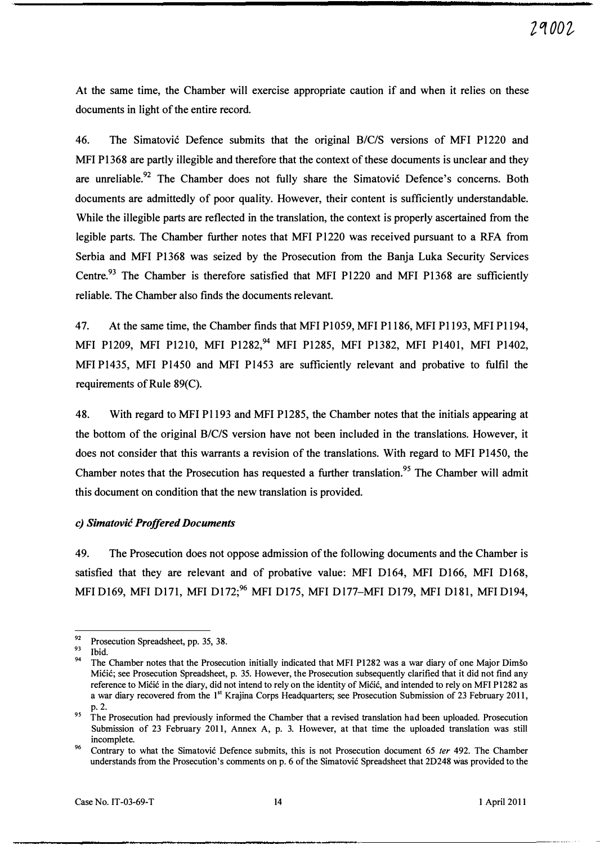At the same time, the Chamber will exercise appropriate caution if and when it relies on these documents in light of the entire record.

46. The Simatovic Defence submits that the original B/c/S versions of MFI P1220 and MFI P1368 are partly illegible and therefore that the context of these documents is unclear and they are unreliable.<sup>92</sup> The Chamber does not fully share the Simatovic Defence's concerns. Both documents are admittedly of poor quality. However, their content is sufficiently understandable. While the illegible parts are reflected in the translation, the context is properly ascertained from the legible parts. The Chamber further notes that MFI Pl220 was received pursuant to a RFA from Serbia and MFI P1368 was seized by the Prosecution from the Banja Luka Security Services Centre.<sup>93</sup> The Chamber is therefore satisfied that MFI P1220 and MFI P1368 are sufficiently reliable. The Chamber also finds the documents relevant.

47. At the same time, the Chamber finds that MFI P1059, MFI P1186, MFI P1193, MFI P1194, MFI P1209, MFI P1210, MFI P1282,<sup>94</sup> MFI P1285, MFI P1382, MFI P1401, MFI P1402, MFI P1435, MFI Pl450 and MFI Pl453 are sufficiently relevant and probative to fulfil the requirements of Rule 89(C).

48. With regard to MFI Pl193 and MFI P1285, the Chamber notes that the initials appearing at the bottom of the original BICIS version have not been included in the translations. However, it does not consider that this warrants a revision of the translations. With regard to MFI P1450, the Chamber notes that the Prosecution has requested a further translation.<sup>95</sup> The Chamber will admit this document on condition that the new translation is provided.

#### c) Simatovic Proffered Documents

49. The Prosecution does not oppose admission of the following documents and the Chamber is satisfied that they are relevant and of probative value: MPI D164, MPI DI66, MPI D168, MFI D169, MFI D171, MFI D172;<sup>96</sup> MFI D175, MFI D177-MFI D179, MFI D181, MFI D194,

<sup>&</sup>lt;sup>92</sup> Prosecution Spreadsheet, pp. 35, 38.

 $\frac{93}{94}$  Ibid.

The Chamber notes that the Prosecution initially indicated that MFI P1282 was a war diary of one Major Dimšo Micic; see Prosecution Spreadsheet, p. 35. However, the Prosecution subsequently clarified that it did not find any reference to Micic in the diary, did not intend to rely on the identity of Micic, and intended to rely on MFI P1282 as a war diary recovered from the 1<sup>st</sup> Krajina Corps Headquarters; see Prosecution Submission of 23 February 2011, p. 2.

<sup>&</sup>lt;sup>95</sup>The Prosecution had previously informed the Chamber that a revised translation had been uploaded. Prosecution Submission of 23 February 2011, Annex A, p. 3. However, at that time the uploaded translation was still incomplete.

<sup>&</sup>lt;sup>96</sup> Contrary to what the Simatovic Defence submits, this is not Prosecution document 65 ter 492. The Chamber understands from the Prosecution's comments on p. 6 of the Simatovic Spreadsheet that 2D248 was provided to the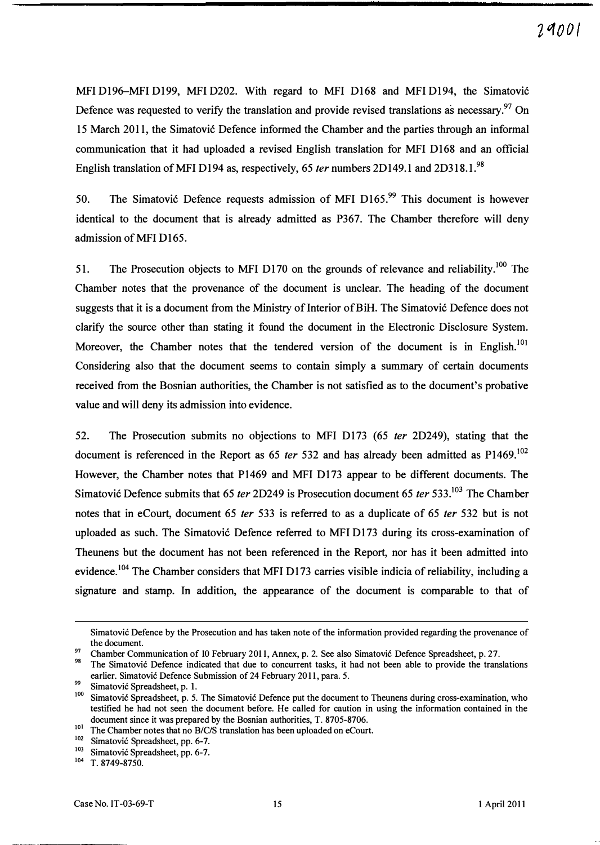MFI D196-MFI D199, MFI D202. With regard to MFI D168 and MFI D194, the Simatović Defence was requested to verify the translation and provide revised translations as necessary.<sup>97</sup> On 15 March 2011, the Simatovi6 Defence informed the Chamber and the parties through an informal communication that it had uploaded a revised English translation for MFI D168 and an official English translation of MFI D194 as, respectively, 65 ter numbers 2D149.1 and 2D318.1.98

50. The Simatović Defence requests admission of MFI D165.<sup>99</sup> This document is however identical to the document that is already admitted as P367. The Chamber therefore will deny admission of MFI D165.

51. The Prosecution objects to MFI D170 on the grounds of relevance and reliability.<sup>100</sup> The Chamber notes that the provenance of the document is unclear. The heading of the document suggests that it is a document from the Ministry of Interior of BiH. The Simatović Defence does not clarifY the source other than stating it found the document in the Electronic Disclosure System. Moreover, the Chamber notes that the tendered version of the document is in English.<sup>101</sup> Considering also that the document seems to contain simply a summary of certain documents received from the Bosnian authorities, the Chamber is not satisfied as to the document's probative value and will deny its admission into evidence.

52. The Prosecution submits no objections to MFI D173 (65 fer 2D249), stating that the document is referenced in the Report as 65 ter 532 and has already been admitted as  $P1469$ .<sup>102</sup> However, the Chamber notes that P1469 and MFI D173 appear to be different documents. The Simatović Defence submits that 65 ter 2D249 is Prosecution document 65 ter 533.<sup>103</sup> The Chamber notes that in eCourt, document 65 fer 533 is referred to as a duplicate of 65 fer 532 but is not uploaded as such. The Simatović Defence referred to MFI D173 during its cross-examination of Theunens but the document has not been referenced in the Report, nor has it been admitted into evidence.<sup>104</sup> The Chamber considers that MFI D173 carries visible indicia of reliability, including a signature and stamp. In addition, the appearance of the document is comparable to that of

Simatovic Defence by the Prosecution and has taken note of the information provided regarding the provenance of the document.

<sup>&</sup>lt;sup>97</sup>Chamber Communication of 10 February 2011, Annex, p. 2. See also Simatovic Defence Spreadsheet, p. 27.<br><sup>98</sup>Chamber Communication of 10 February 2011, Annex, p. 2. See also Simatovic Defence Spreadsheet, p. 27.

The Simatović Defence indicated that due to concurrent tasks, it had not been able to provide the translations earlier. Simatović Defence Submission of 24 February 2011, para. 5.

 $^{99}$  Simatović Spreadsheet, p. 1.

<sup>&</sup>lt;sup>100</sup> Simatovic Spreadsheet, p. 5. The Simatovic Defence put the document to Theunens during cross-examination, who testified he had not seen the document before. He called for caution in using the information contained in the document since it was prepared by the Bosnian authorities, T. 8705-8706.

 $101$  The Chamber notes that no B/C/S translation has been uploaded on eCourt.

<sup>&</sup>lt;sup>102</sup> Simatović Spreadsheet, pp. 6-7.

<sup>&</sup>lt;sup>103</sup> Simatović Spreadsheet, pp. 6-7.

 $104$  T. 8749-8750.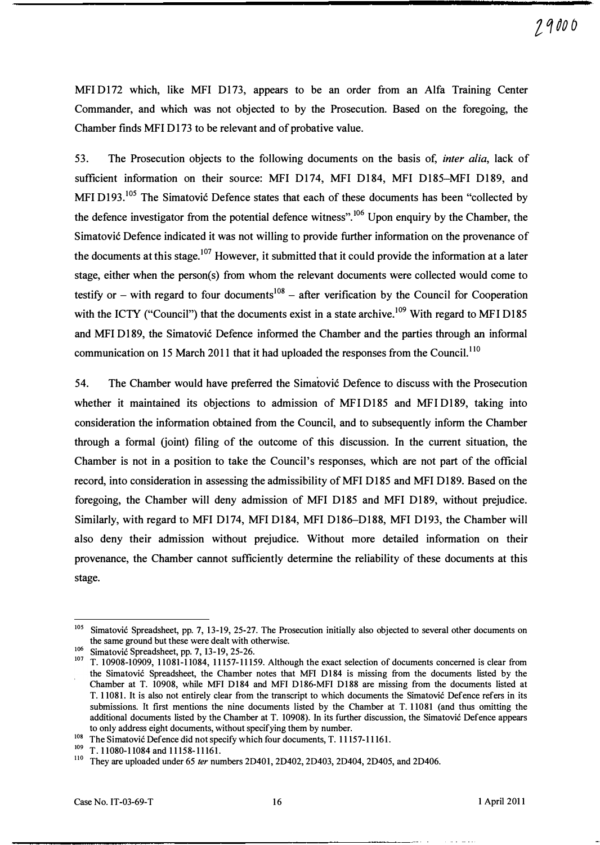MFI D172 which, like MFI D173, appears to be an order from an Alfa Training Center Commander, and which was not objected to by the Prosecution. Based on the foregoing, the Chamber finds MFI D173 to be relevant and of probative value.

53. The Prosecution objects to the following documents on the basis of, inter alia, lack of sufficient information on their source: MFI D174, MFI D184, MFI D185-MFI D189, and MFI D193.<sup>105</sup> The Simatović Defence states that each of these documents has been "collected by the defence investigator from the potential defence witness".<sup>106</sup> Upon enquiry by the Chamber, the Simatovic Defence indicated it was not willing to provide further information on the provenance of the documents at this stage.<sup>107</sup> However, it submitted that it could provide the information at a later stage, either when the person(s) from whom the relevant documents were collected would come to testify or  $-$  with regard to four documents<sup>108</sup>  $-$  after verification by the Council for Cooperation with the ICTY ("Council") that the documents exist in a state archive.<sup>109</sup> With regard to MFI D185 and MFI D189, the Simatovic Defence informed the Chamber and the parties through an informal communication on 15 March 2011 that it had uploaded the responses from the Council.<sup>110</sup>

54. The Chamber would have preferred the Simatovic Defence to discuss with the Prosecution whether it maintained its objections to admission of MFID185 and MFID189, taking into consideration the information obtained from the Council, and to subsequently inform the Chamber through a formal Goint) filing of the outcome of this discussion. In the current situation, the Chamber is not in a position to take the Council's responses, which are not part of the official record, into consideration in assessing the admissibility of MPI D185 and MPI D189. Based on the foregoing, the Chamber will deny admission of MFI D185 and MFI D189, without prejudice. Similarly, with regard to MFI D174, MFI D184, MFI D186–D188, MFI D193, the Chamber will also deny their admission without prejudice. Without more detailed information on their provenance, the Chamber cannot sufficiently determine the reliability of these documents at this stage.

<sup>&</sup>lt;sup>105</sup> Simatović Spreadsheet, pp. 7, 13-19, 25-27. The Prosecution initially also objected to several other documents on the same ground but these were dealt with otherwise.

<sup>&</sup>lt;sup>106</sup> Simatovic Spreadsheet, pp. 7, 13-19, 25-26.

 $107$  T. 10908-10909, 11081-11084, 11157-11159. Although the exact selection of documents concerned is clear from the Simatovic Spreadsheet, the Chamber notes that MFI D184 is missing from the documents listed by the Chamber at T. 10908, while MFI D184 and MFI DI86-MFI D188 are missing from the documents listed at T. 1 1081. It is also not entirely clear from the transcript to which documents the Simatovic Defence refers in its submissions. It first mentions the nine documents listed by the Chamber at T. 1 1081 (and thus omitting the additional documents listed by the Chamber at T. 10908). In its further discussion, the Simatovic Defence appears to only address eight documents, without specifying them by number.

<sup>&</sup>lt;sup>108</sup> The Simatovic Defence did not specify which four documents, T. 11157-11161.

<sup>&</sup>lt;sup>109</sup> T. 11080-11084 and 11158-11161.

<sup>&</sup>lt;sup>110</sup> They are uploaded under 65 ter numbers 2D401, 2D402, 2D403, 2D404, 2D405, and 2D406.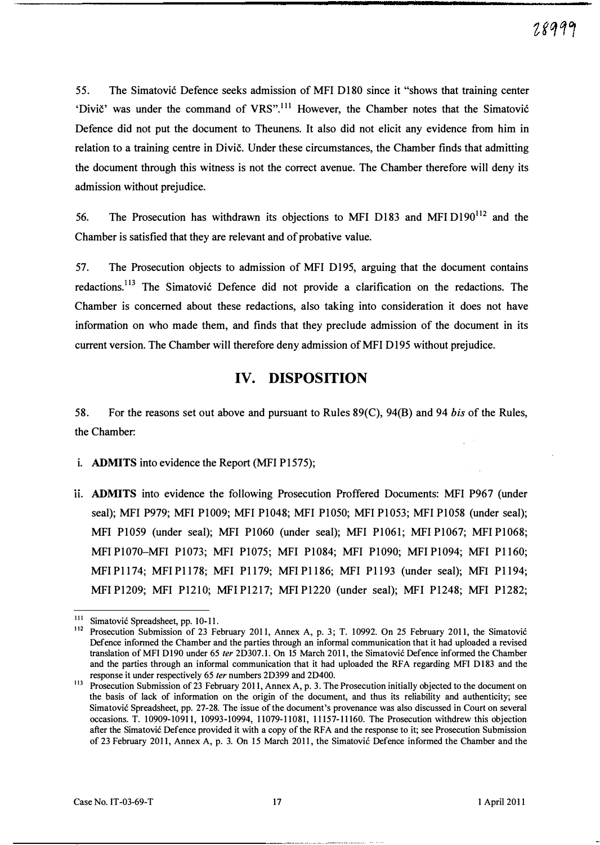55. The Simatovic Defence seeks admission of MPI DI80 since it "shows that training center 'Divič' was under the command of VRS".<sup>111</sup> However, the Chamber notes that the Simatović Defence did not put the document to Theunens. It also did not elicit any evidence from him in relation to a training centre in Divic. Under these circumstances, the Chamber finds that admitting the document through this witness is not the correct avenue. The Chamber therefore will deny its admission without prejudice.

56. The Prosecution has withdrawn its objections to MFI D183 and MFI D190<sup>112</sup> and the Chamber is satisfied that they are relevant and of probative value.

57. The Prosecution objects to admission of MPI DI95, arguing that the document contains redactions.<sup>113</sup> The Simatovic Defence did not provide a clarification on the redactions. The Chamber is concerned about these redactions, also taking into consideration it does not have information on who made them, and finds that they preclude admission of the document in its current version. The Chamber will therefore deny admission of MPI DI95 without prejudice.

### IV. DISPOSITION

58. For the reasons set out above and pursuant to Rules 89(C), 94(B) and 94 *bis* of the Rules, the Chamber:

- i. ADMITS into evidence the Report (MPI PI575);
- ii. **ADMITS** into evidence the following Prosecution Proffered Documents: MFI P967 (under seal); MFI P979; MFI P1009; MFI P1048; MFI P1050; MFI P1053; MFI P1058 (under seal); MPI P1059 (under seal); MPI PI060 (under seal); MPI P1061; MPI PI067; MPI PI068; MPI P1070- MPI PI073; MPI P1075; MFI PI084; MPI PI090; MFI PI094; MPI P1160; MPI P1174; MPI P1178; MPI P1179; MFI P1186; MPI PII93 (under seal); MP! P1194; MPI P1209; MPI Pl21O; MPI P1217; MPI P1220 (under seal); MPI P1248; MPI P1282;

<sup>&</sup>lt;sup>111</sup> Simatović Spreadsheet, pp. 10-11.

<sup>&</sup>lt;sup>112</sup> Prosecution Submission of 23 February 2011, Annex A, p. 3; T. 10992. On 25 February 2011, the Simatović Defence informed the Chamber and the parties through an informal communication that it had uploaded a revised translation of MFI D190 under 65 ter 2D307.1. On 15 March 2011, the Simatović Defence informed the Chamber and the parties through an informal communication that it had uploaded the RFA regarding MFI D183 and the response it under respectively 65 ter numbers 2D399 and 2D400.

II3 Prosecution Submission of 23 February 2011, Annex A, p. 3. The Prosecution initially objected to the document on the basis of lack of information on the origin of the document, and thus its reliability and authenticity; see Simatovic Spreadsheet, pp. 27-28. The issue of the document's provenance was also discussed in Court on several occasions. T. 10909-1091 1, 10993-10994, 1 1079-1 1081, 1 1 157-11160. The Prosecution withdrew this objection after the Simatović Defence provided it with a copy of the RFA and the response to it; see Prosecution Submission of 23 February 2011, Annex A, p. 3. On 15 March 2011, the Simatovic Defence informed the Chamber and the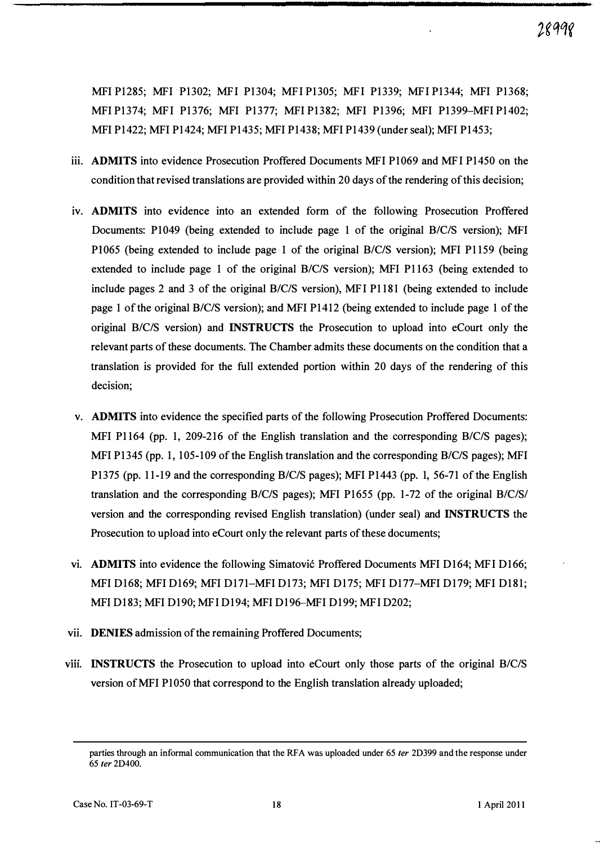MPI P1285; MPI P1302; MPI P1304; MPI P1305; MPI P1339; MPI P1344; MPI P1368; MFI P1374; MFI P1376; MFI P1377; MFI P1382; MFI P1396; MFI P1399–MFI P1402; MPI P1422; MPI P1424; MPI P1435; MPI P1438; MPI PI439 (under seal); MPI P1453;

- iii. ADMITS into evidence Prosecution Proffered Documents MFI P1069 and MFI P1450 on the condition that revised translations are provided within 20 days of the rendering of this decision;
- iv. ADMITS into evidence into an extended form of the following Prosecution Proffered Documents: PI049 (being extended to include page I of the original B/C/S version); MPI PI065 (being extended to include page I of the original B/c/S version); MPI PI159 (being extended to include page I of the original B/c/S version); MPI P1163 (being extended to include pages 2 and 3 of the original B/c/S version), MPI P1181 (being extended to include page I of the original B/c/S version); and MPI PI412 (being extended to include page I of the original B/C/S version) and INSTRUCTS the Prosecution to upload into eCourt only the relevant parts of these documents. The Chamber admits these documents on the condition that a translation is provided for the full extended portion within 20 days of the rendering of this decision;
- v. ADMITS into evidence the specified parts of the following Prosecution Proffered Documents: MFI P1164 (pp. 1, 209-216 of the English translation and the corresponding B/C/S pages); MPI P1345 (pp. I, 105-109 of the English translation and the corresponding B/c/S pages); MPI P1375 (pp. 11-19 and the corresponding B/c/S pages); MPI PI443 (pp. I, 56-71 of the English translation and the corresponding B/C/S pages); MFI P1655 (pp. 1-72 of the original B/C/S/ version and the corresponding revised English translation) (under seal) and INSTRUCTS the Prosecution to upload into eCourt only the relevant parts of these documents;
- vi. ADMITS into evidence the following Simatović Proffered Documents MFI D164; MFI D166; MFI D168; MFI D169; MFI D171–MFI D173; MFI D175; MFI D177–MFI D179; MFI D181; MPI D183; MPI D190; MPI D194; MFI D196-MPI D199; MPI D202;
- vii. DENIES admission of the remaining Proffered Documents;
- Vlll. INSTRUCTS the Prosecution to upload into eCourt only those parts of the original B/C/S version of MFI P1050 that correspond to the English translation already uploaded;

parties through an informal communication that the RFA was uploaded under 65 ter 2D399 and the response under 65 (er 2D400.